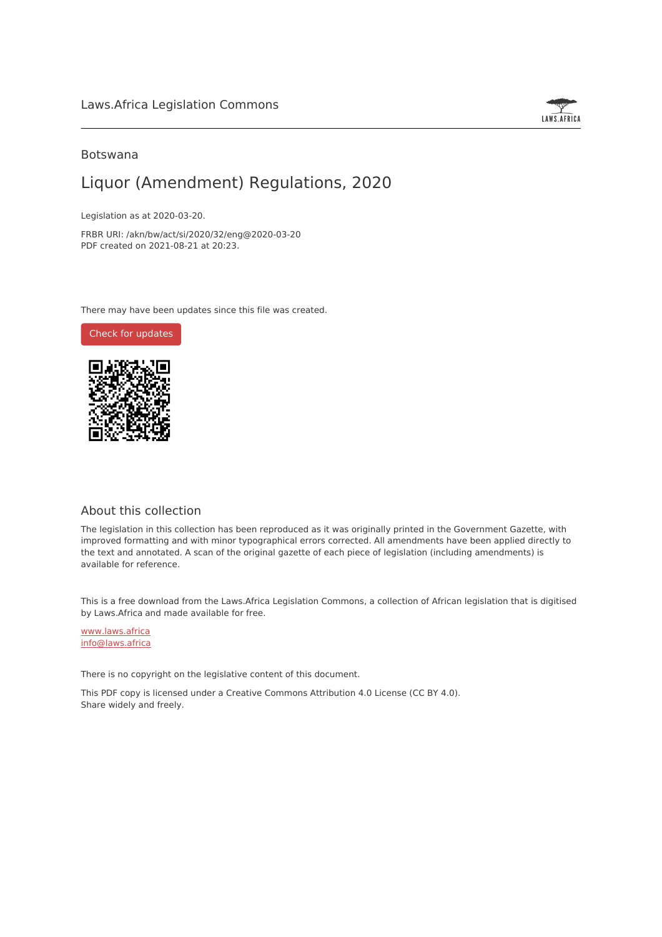

### Botswana

## Liquor (Amendment) Regulations, 2020

Legislation as at 2020-03-20.

FRBR URI: /akn/bw/act/si/2020/32/eng@2020-03-20 PDF created on 2021-08-21 at 20:23.

There may have been updates since this file was created.

Check for [updates](https://commons.laws.africa/akn/bw/act/si/2020/32/eng@2020-03-20?ts=2021-08-21T20:23:41.520856+00:00)



## About this collection

The legislation in this collection has been reproduced as it was originally printed in the Government Gazette, with improved formatting and with minor typographical errors corrected. All amendments have been applied directly to the text and annotated. A scan of the original gazette of each piece of legislation (including amendments) is available for reference.

This is a free download from the Laws.Africa Legislation Commons, a collection of African legislation that is digitised by Laws.Africa and made available for free.

[www.laws.africa](https://www.laws.africa) [info@laws.africa](mailto:info@laws.africa)

There is no copyright on the legislative content of this document.

This PDF copy is licensed under a Creative Commons Attribution 4.0 License (CC BY 4.0). Share widely and freely.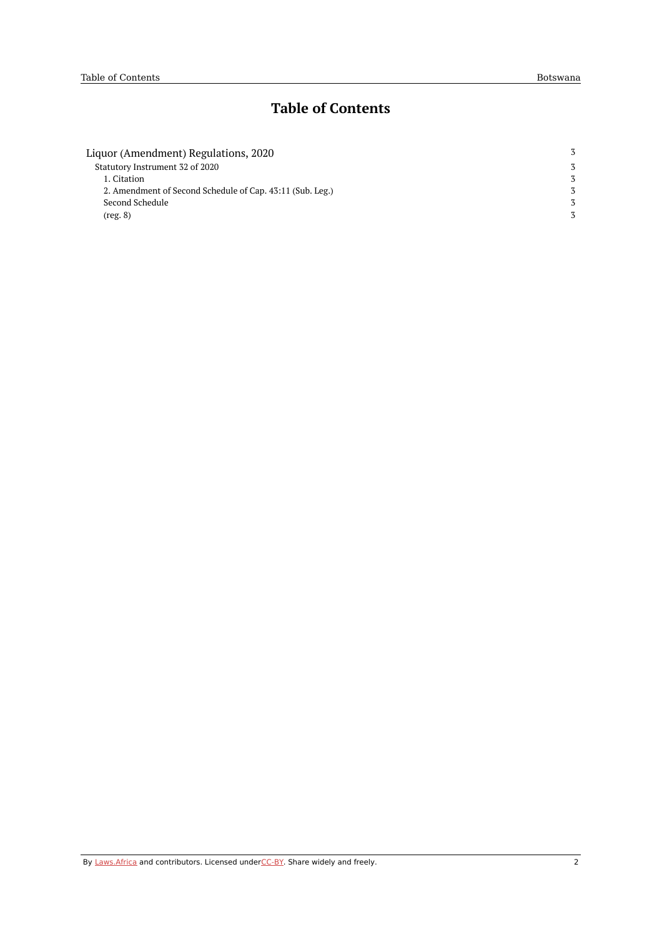# **Table of Contents**

| Liquor (Amendment) Regulations, 2020                      |   |  |
|-----------------------------------------------------------|---|--|
| Statutory Instrument 32 of 2020                           | 3 |  |
| 1. Citation                                               | 3 |  |
| 2. Amendment of Second Schedule of Cap. 43:11 (Sub. Leg.) |   |  |
| Second Schedule                                           | 3 |  |
| (reg. 8)                                                  |   |  |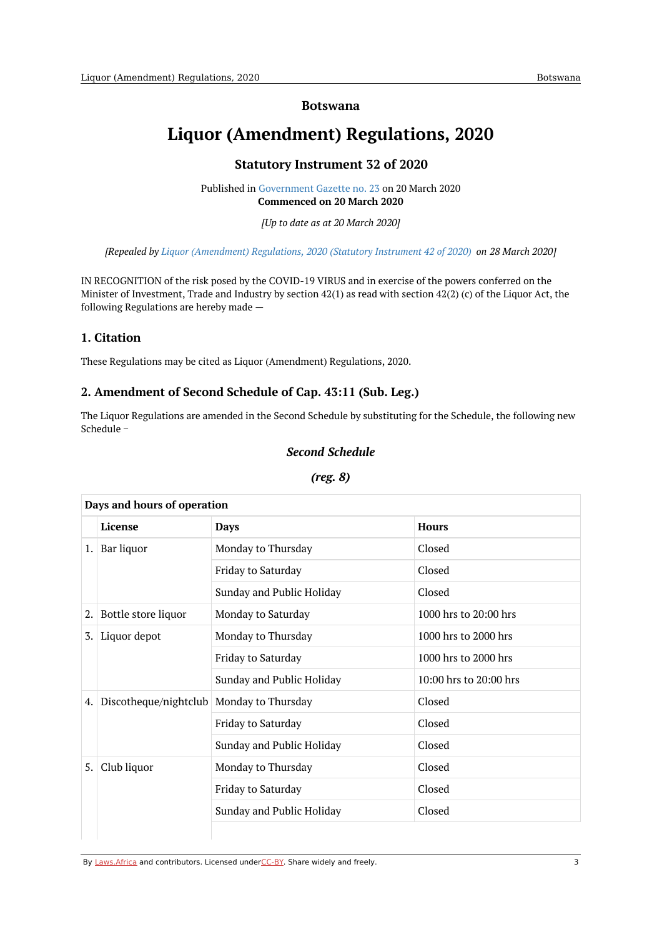#### **Botswana**

# <span id="page-2-1"></span><span id="page-2-0"></span>**Liquor (Amendment) Regulations, 2020**

### **Statutory Instrument 32 of 2020**

Published in [Government](https://commons.laws.africa/akn/bw/act/si/2020/32/media/publication/bw-act-si-2020-32-publication-document.pdf) Gazette no. 23 on 20 March 2020 **Commenced on 20 March 2020**

*[Up to date as at 20 March 2020]*

*[Repealed by Liquor [\(Amendment\)](https://africanlii.org/akn/bw/act/si/2020/42) Regulations, 2020 (Statutory Instrument 42 of 2020) on 28 March 2020]*

IN RECOGNITION of the risk posed by the COVID-19 VIRUS and in exercise of the powers conferred on the Minister of Investment, Trade and Industry by section 42(1) as read with section 42(2) (c) of the Liquor Act, the following Regulations are hereby made —

### <span id="page-2-2"></span>**1. Citation**

These Regulations may be cited as Liquor (Amendment) Regulations, 2020.

#### <span id="page-2-3"></span>**2. Amendment of Second Schedule of Cap. 43:11 (Sub. Leg.)**

<span id="page-2-4"></span>The Liquor Regulations are amended in the Second Schedule by substituting for the Schedule, the following new Schedule −

#### *Second Schedule*

<span id="page-2-5"></span>

| Days and hours of operation |                                            |                           |                        |  |
|-----------------------------|--------------------------------------------|---------------------------|------------------------|--|
|                             | License                                    | Days                      | <b>Hours</b>           |  |
| 1.                          | Bar liquor                                 | Monday to Thursday        | Closed                 |  |
|                             |                                            | Friday to Saturday        | Closed                 |  |
|                             |                                            | Sunday and Public Holiday | Closed                 |  |
| 2.                          | Bottle store liquor                        | Monday to Saturday        | 1000 hrs to 20:00 hrs  |  |
| 3.                          | Liquor depot                               | Monday to Thursday        | 1000 hrs to 2000 hrs   |  |
|                             |                                            | Friday to Saturday        | 1000 hrs to 2000 hrs   |  |
|                             |                                            | Sunday and Public Holiday | 10:00 hrs to 20:00 hrs |  |
| 4.                          | Discotheque/nightclub   Monday to Thursday |                           | Closed                 |  |
|                             |                                            | Friday to Saturday        | Closed                 |  |
|                             |                                            | Sunday and Public Holiday | Closed                 |  |
| 5.                          | Club liquor                                | Monday to Thursday        | Closed                 |  |
|                             |                                            | Friday to Saturday        | Closed                 |  |
|                             |                                            | Sunday and Public Holiday | Closed                 |  |

#### *(reg. 8)*